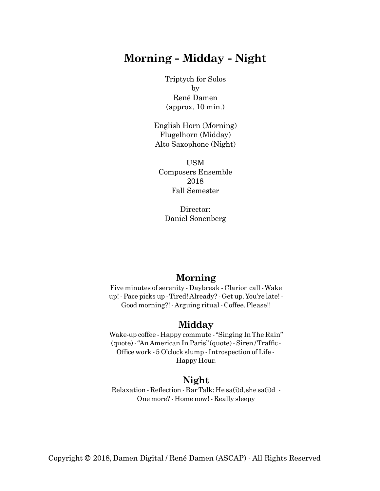## **Morning - Midday - Night**

Triptych for Solos by René Damen (approx. 10 min.)

English Horn (Morning) Flugelhorn (Midday) Alto Saxophone (Night)

USM Composers Ensemble 2018 Fall Semester

Director: Daniel Sonenberg

### **Morning**

Five minutes of serenity - Daybreak - Clarion call -Wake up! - Pace picks up -Tired! Already? - Get up.You're late! - Good morning?! - Arguing ritual - Coffee.Please!!

### **Midday**

Wake-up coffee - Happy commute -"Singing InThe Rain" (quote) - "An American In Paris" (quote) - Siren / Traffic -Office work - 5 O'clock slump - Introspection of Life -Happy Hour.

#### **Night**

 $Relaxation - Reflection - BarTalk: He sa(i)d, she sa(i)d -$ One more? - Home now! - Really sleepy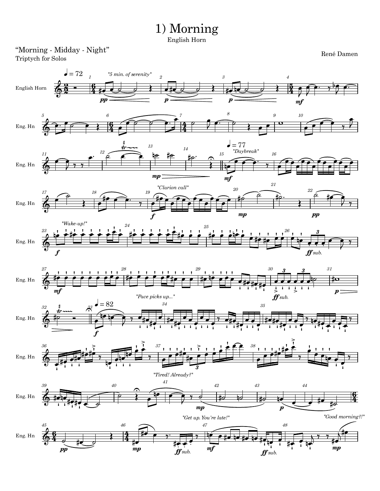# 1) Morning

English Horn

#### "Morning - Midday - Night" Triptych for Solos

René Damen

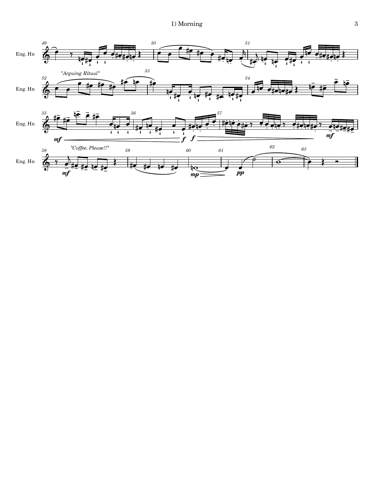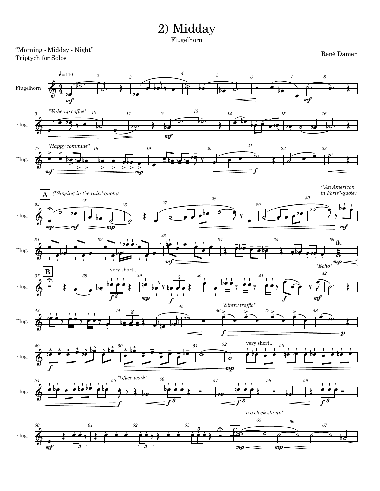2) Midday Flugelhorn

"Morning - Midday - Night" Triptych for Solos



René Damen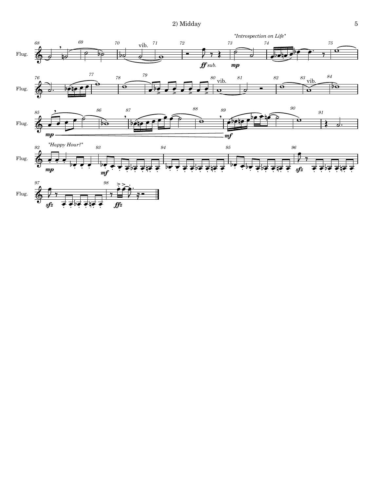

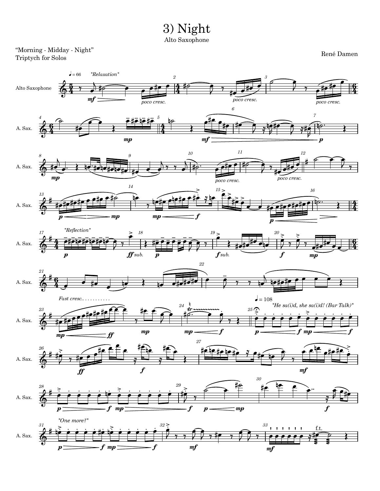

Alto Saxophone

"Morning - Midday - Night" Triptych for Solos

René Damen